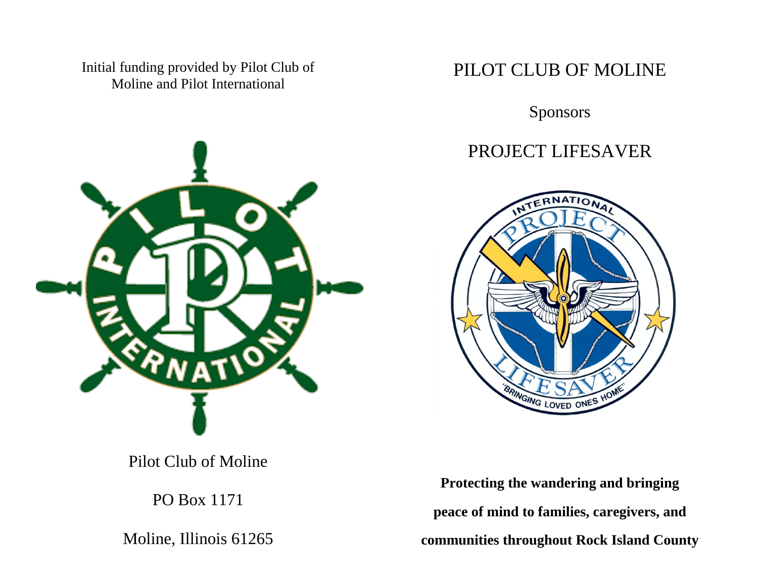Initial funding provided by Pilot Club of Moline and Pilot International



Pilot Club of Moline

PO Box 1171

Moline, Illinois 61265

### PILOT CLUB OF MOLINE

Sponsors

### PROJECT LIFESAVER



**Protecting the wandering and bringing peace of mind to families, caregivers, and communities throughout Rock Island County**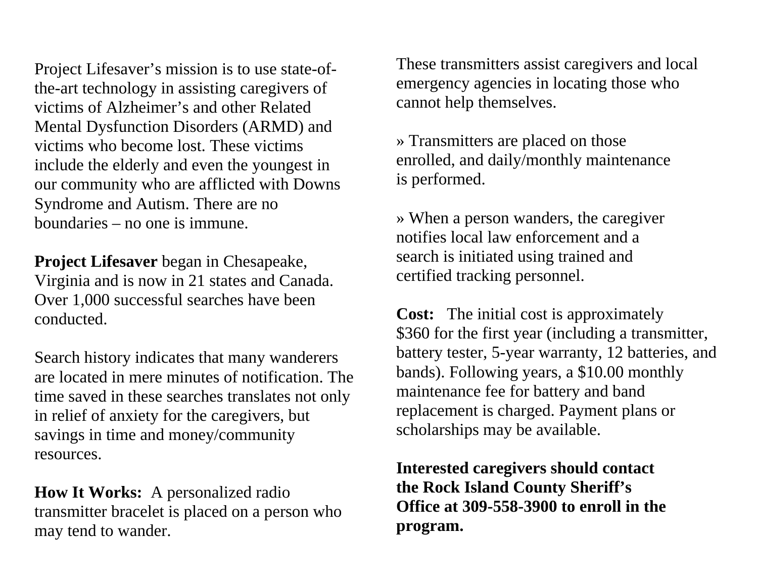Project Lifesaver's mission is to use state-ofthe-art technology in assisting caregivers of victims of Alzheimer's and other Related Mental Dysfunction Disorders (ARMD) and victims who become lost. These victims include the elderly and even the youngest in our community who are afflicted with Downs Syndrome and Autism. There are no boundaries – no one is immune.

**Project Lifesaver** began in Chesapeake, Virginia and is now in 21 states and Canada. Over 1,000 successful searches have been conducted.

Search history indicates that many wanderers are located in mere minutes of notification. The time saved in these searches translates not only in relief of anxiety for the caregivers, but savings in time and money/community resources.

**How It Works:** A personalized radio transmitter bracelet is placed on a person who may tend to wander.

These transmitters assist caregivers and local emergency agencies in locating those who cannot help themselves.

» Transmitters are placed on those enrolled, and daily/monthly maintenance is performed.

» When a person wanders, the caregiver notifies local law enforcement and a search is initiated using trained and certified tracking personnel.

**Cost:** The initial cost is approximately \$360 for the first year (including a transmitter, battery tester, 5-year warranty, 12 batteries, and bands). Following years, a \$10.00 monthly maintenance fee for battery and band replacement is charged. Payment plans or scholarships may be available.

**Interested caregivers should contact the Rock Island County Sheriff's Office at 309-558-3900 to enroll in the program.**